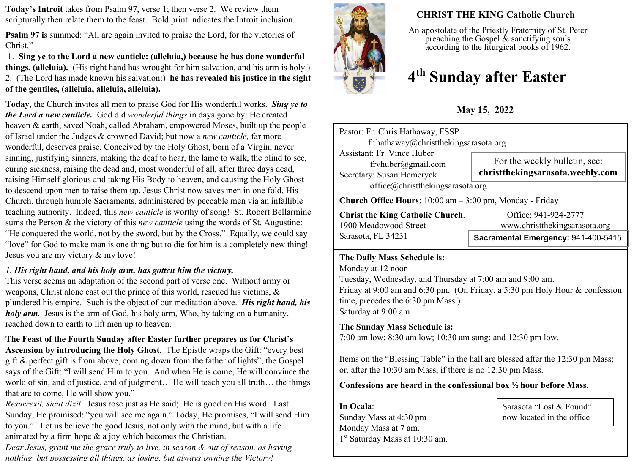**Today's Introit** takes from Psalm 97, verse 1; then verse 2. We review them scripturally then relate them to the feast. Bold print indicates the Introit inclusion.

**Psalm 97 i**s summed: "All are again invited to praise the Lord, for the victories of Christ."

 1. **Sing ye to the Lord a new canticle: (alleluia,) because he has done wonderful things, (alleluia).** (His right hand has wrought for him salvation, and his arm is holy.) 2. (The Lord has made known his salvation:) **he has revealed his justice in the sight of the gentiles, (alleluia, alleluia, alleluia).** 

**Today**, the Church invites all men to praise God for His wonderful works. *Sing ye to the Lord a new canticle.* God did *wonderful things* in days gone by: He created heaven & earth, saved Noah, called Abraham, empowered Moses, built up the people of Israel under the Judges & crowned David; but now a *new canticle,* far more wonderful, deserves praise. Conceived by the Holy Ghost, born of a Virgin, never sinning, justifying sinners, making the deaf to hear, the lame to walk, the blind to see, curing sickness, raising the dead and, most wonderful of all, after three days dead, raising Himself glorious and taking His Body to heaven, and causing the Holy Ghost to descend upon men to raise them up, Jesus Christ now saves men in one fold, His Church, through humble Sacraments, administered by peccable men via an infallible teaching authority. Indeed, this *new canticle* is worthy of song! St. Robert Bellarmine sums the Person & the victory of this *new canticle* using the words of St. Augustine: "He conquered the world, not by the sword, but by the Cross." Equally, we could say "love" for God to make man is one thing but to die for him is a completely new thing! Jesus you are my victory & my love!

### *1. His right hand, and his holy arm, has gotten him the victory.*

This verse seems an adaptation of the second part of verse one. Without army or weapons, Christ alone cast out the prince of this world, rescued his victims, & plundered his empire. Such is the object of our meditation above. *His right hand, his holy arm.* Jesus is the arm of God, his holy arm, Who, by taking on a humanity, reached down to earth to lift men up to heaven.

## **The Feast of the Fourth Sunday after Easter further prepares us for Christ's**

**Ascension by introducing the Holy Ghost.** The Epistle wraps the Gift: "every best gift & perfect gift is from above, coming down from the father of lights"; the Gospel says of the Gift: "I will send Him to you. And when He is come, He will convince the world of sin, and of justice, and of judgment… He will teach you all truth… the things that are to come, He will show you."

*Resurrexit, sicut dixit*. Jesus rose just as He said; He is good on His word. Last Sunday, He promised: "you will see me again." Today, He promises, "I will send Him to you." Let us believe the good Jesus, not only with the mind, but with a life animated by a firm hope & a joy which becomes the Christian.

*Dear Jesus, grant me the grace truly to live, in season & out of season, as having nothing, but possessing all things, as losing, but always owning the Victory!*



# **CHRIST THE KING Catholic Church**

An apostolate of the Priestly Fraternity of St. Peter preaching the Gospel  $\&$  sanctifying souls according to the liturgical books of 1962.

# **4 th Sunday after Easter**

**May 15, 2022**

| Pastor: Fr. Chris Hathaway, FSSP<br>fr.hathaway@christthekingsarasota.org                                     |                                                                   |  |  |
|---------------------------------------------------------------------------------------------------------------|-------------------------------------------------------------------|--|--|
| Assistant: Fr. Vince Huber<br>frvhuber@gmail.com<br>Secretary: Susan Hemeryck                                 | For the weekly bulletin, see:<br>christthekingsarasota.weebly.com |  |  |
| office@christthekingsarasota.org                                                                              |                                                                   |  |  |
| <b>Church Office Hours:</b> $10:00$ am $-3:00$ pm, Monday - Friday<br><b>Christ the King Catholic Church.</b> | Office: 941-924-2777                                              |  |  |

Sarasota, FL 34231

1900 Meadowood Street www.christthekingsarasota.org

**Sacramental Emergency:** 941-400-5415

#### **The Daily Mass Schedule is:**

Monday at 12 noon Tuesday, Wednesday, and Thursday at 7:00 am and 9:00 am. Friday at 9:00 am and 6:30 pm. (On Friday, a 5:30 pm Holy Hour & confession time, precedes the 6:30 pm Mass.) Saturday at 9:00 am.

#### **The Sunday Mass Schedule is:**

7:00 am low; 8:30 am low; 10:30 am sung; and 12:30 pm low.

Items on the "Blessing Table" in the hall are blessed after the 12:30 pm Mass; or, after the 10:30 am Mass, if there is no 12:30 pm Mass.

#### **Confessions are heard in the confessional box ½ hour before Mass.**

**In Ocala**: Sunday Mass at 4:30 pm Monday Mass at 7 am. 1 st Saturday Mass at 10:30 am.

Sarasota "Lost & Found" now located in the office